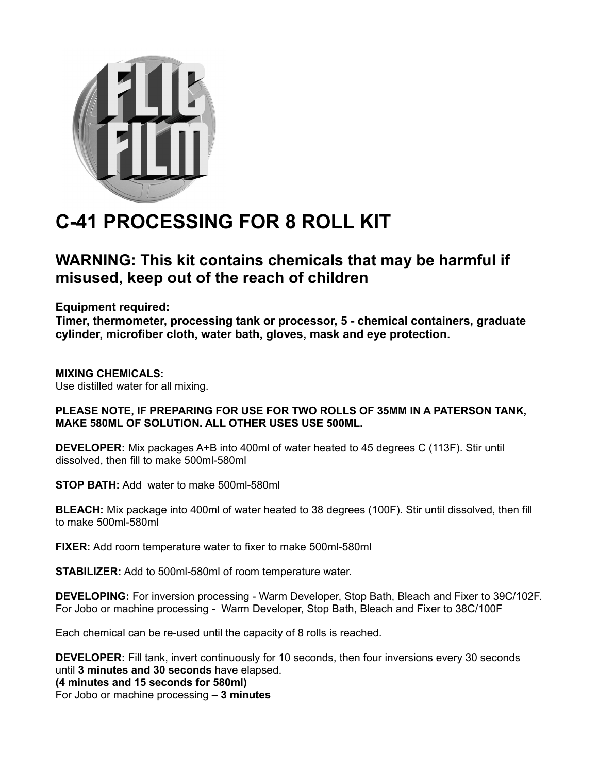

## **C-41 PROCESSING FOR 8 ROLL KIT**

## **WARNING: This kit contains chemicals that may be harmful if misused, keep out of the reach of children**

**Equipment required:**

**Timer, thermometer, processing tank or processor, 5 - chemical containers, graduate cylinder, microfiber cloth, water bath, gloves, mask and eye protection.**

**MIXING CHEMICALS:** Use distilled water for all mixing.

## **PLEASE NOTE, IF PREPARING FOR USE FOR TWO ROLLS OF 35MM IN A PATERSON TANK, MAKE 580ML OF SOLUTION. ALL OTHER USES USE 500ML.**

**DEVELOPER:** Mix packages A+B into 400ml of water heated to 45 degrees C (113F). Stir until dissolved, then fill to make 500ml-580ml

**STOP BATH:** Add water to make 500ml-580ml

**BLEACH:** Mix package into 400ml of water heated to 38 degrees (100F). Stir until dissolved, then fill to make 500ml-580ml

**FIXER:** Add room temperature water to fixer to make 500ml-580ml

**STABILIZER:** Add to 500ml-580ml of room temperature water.

**DEVELOPING:** For inversion processing - Warm Developer, Stop Bath, Bleach and Fixer to 39C/102F. For Jobo or machine processing - Warm Developer, Stop Bath, Bleach and Fixer to 38C/100F

Each chemical can be re-used until the capacity of 8 rolls is reached.

**DEVELOPER:** Fill tank, invert continuously for 10 seconds, then four inversions every 30 seconds until **3 minutes and 30 seconds** have elapsed. **(4 minutes and 15 seconds for 580ml)** For Jobo or machine processing – **3 minutes**